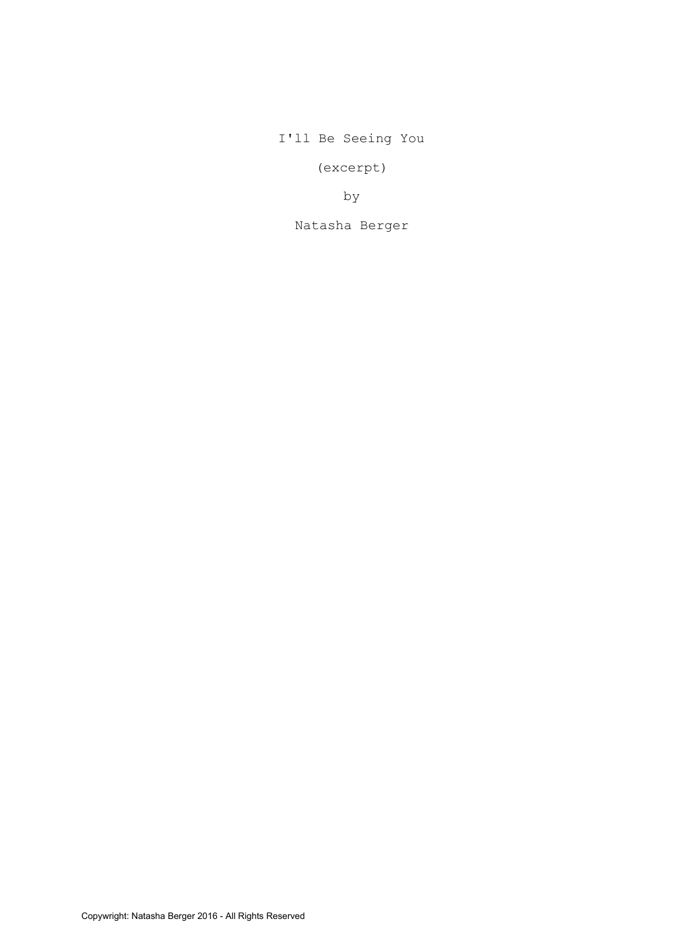I'll Be Seeing You

(excerpt)

by

Natasha Berger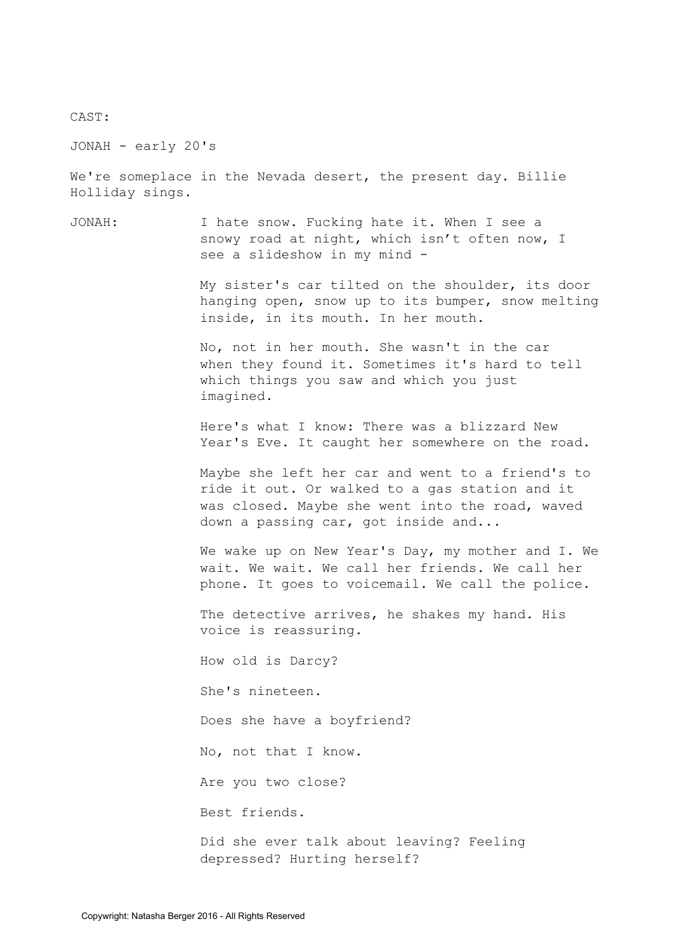CAST:

JONAH - early 20's

We're someplace in the Nevada desert, the present day. Billie Holliday sings.

JONAH: I hate snow. Fucking hate it. When I see a snowy road at night, which isn't often now, I see a slideshow in my mind -

> My sister's car tilted on the shoulder, its door hanging open, snow up to its bumper, snow melting inside, in its mouth. In her mouth.

No, not in her mouth. She wasn't in the car when they found it. Sometimes it's hard to tell which things you saw and which you just imagined.

Here's what I know: There was a blizzard New Year's Eve. It caught her somewhere on the road.

Maybe she left her car and went to a friend's to ride it out. Or walked to a gas station and it was closed. Maybe she went into the road, waved down a passing car, got inside and...

We wake up on New Year's Day, my mother and I. We wait. We wait. We call her friends. We call her phone. It goes to voicemail. We call the police.

The detective arrives, he shakes my hand. His voice is reassuring.

How old is Darcy?

She's nineteen.

Does she have a boyfriend?

No, not that I know.

Are you two close?

Best friends.

Did she ever talk about leaving? Feeling depressed? Hurting herself?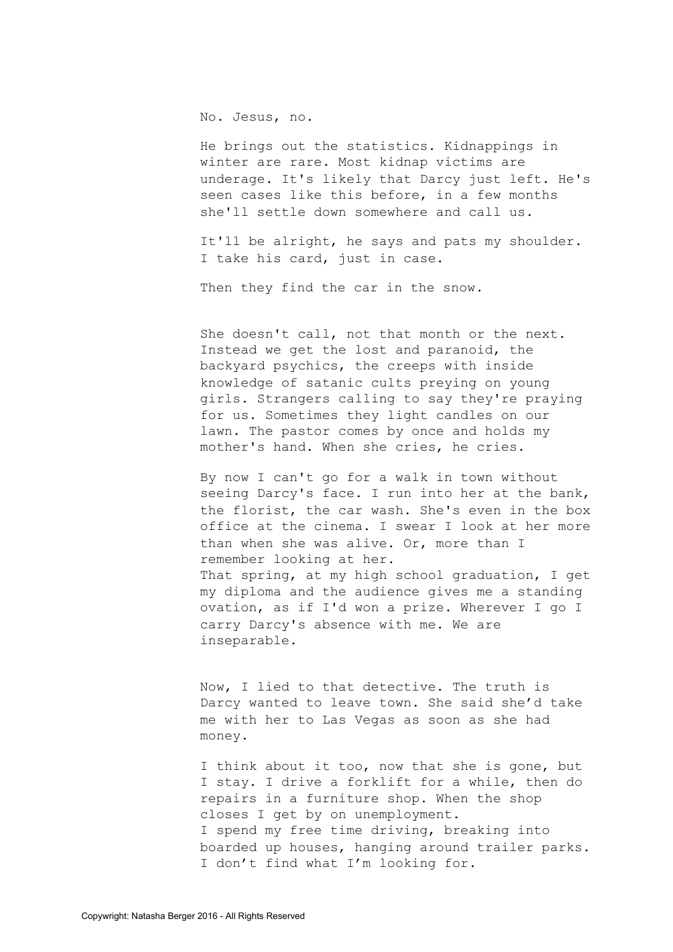No. Jesus, no.

He brings out the statistics. Kidnappings in winter are rare. Most kidnap victims are underage. It's likely that Darcy just left. He's seen cases like this before, in a few months she'll settle down somewhere and call us.

It'll be alright, he says and pats my shoulder. I take his card, just in case.

Then they find the car in the snow.

She doesn't call, not that month or the next. Instead we get the lost and paranoid, the backyard psychics, the creeps with inside knowledge of satanic cults preying on young girls. Strangers calling to say they're praying for us. Sometimes they light candles on our lawn. The pastor comes by once and holds my mother's hand. When she cries, he cries.

By now I can't go for a walk in town without seeing Darcy's face. I run into her at the bank, the florist, the car wash. She's even in the box office at the cinema. I swear I look at her more than when she was alive. Or, more than I remember looking at her. That spring, at my high school graduation, I get my diploma and the audience gives me a standing ovation, as if I'd won a prize. Wherever I go I carry Darcy's absence with me. We are inseparable.

Now, I lied to that detective. The truth is Darcy wanted to leave town. She said she'd take me with her to Las Vegas as soon as she had money.

I think about it too, now that she is gone, but I stay. I drive a forklift for a while, then do repairs in a furniture shop. When the shop closes I get by on unemployment. I spend my free time driving, breaking into boarded up houses, hanging around trailer parks. I don't find what I'm looking for.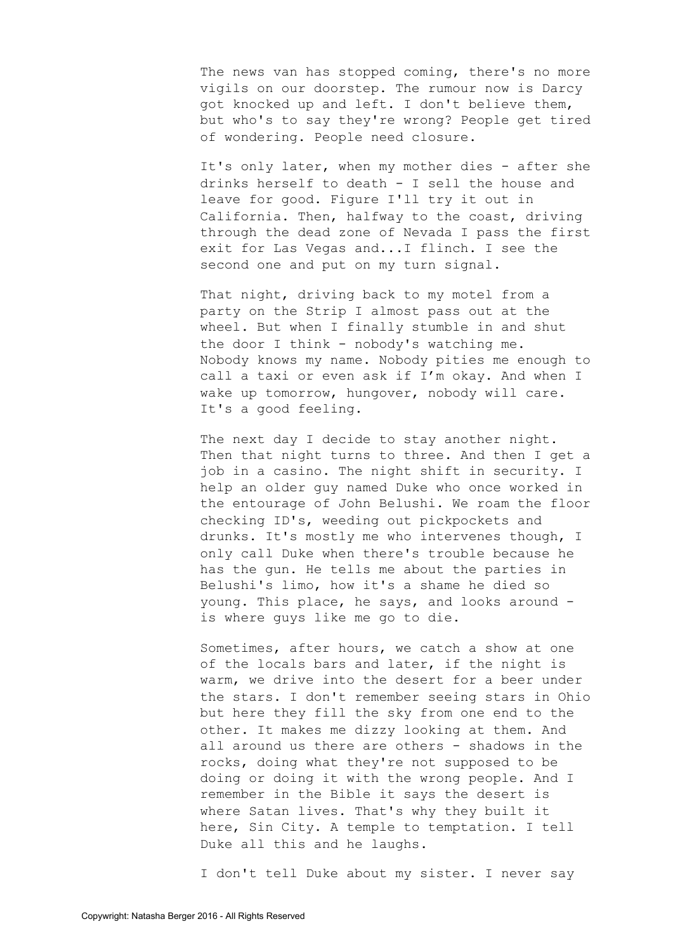The news van has stopped coming, there's no more vigils on our doorstep. The rumour now is Darcy got knocked up and left. I don't believe them, but who's to say they're wrong? People get tired of wondering. People need closure.

It's only later, when my mother dies - after she drinks herself to death - I sell the house and leave for good. Figure I'll try it out in California. Then, halfway to the coast, driving through the dead zone of Nevada I pass the first exit for Las Vegas and...I flinch. I see the second one and put on my turn signal.

That night, driving back to my motel from a party on the Strip I almost pass out at the wheel. But when I finally stumble in and shut the door I think - nobody's watching me. Nobody knows my name. Nobody pities me enough to call a taxi or even ask if I'm okay. And when I wake up tomorrow, hungover, nobody will care. It's a good feeling.

The next day I decide to stay another night. Then that night turns to three. And then I get a job in a casino. The night shift in security. I help an older guy named Duke who once worked in the entourage of John Belushi. We roam the floor checking ID's, weeding out pickpockets and drunks. It's mostly me who intervenes though, I only call Duke when there's trouble because he has the gun. He tells me about the parties in Belushi's limo, how it's a shame he died so young. This place, he says, and looks around is where guys like me go to die.

Sometimes, after hours, we catch a show at one of the locals bars and later, if the night is warm, we drive into the desert for a beer under the stars. I don't remember seeing stars in Ohio but here they fill the sky from one end to the other. It makes me dizzy looking at them. And all around us there are others - shadows in the rocks, doing what they're not supposed to be doing or doing it with the wrong people. And I remember in the Bible it says the desert is where Satan lives. That's why they built it here, Sin City. A temple to temptation. I tell Duke all this and he laughs.

I don't tell Duke about my sister. I never say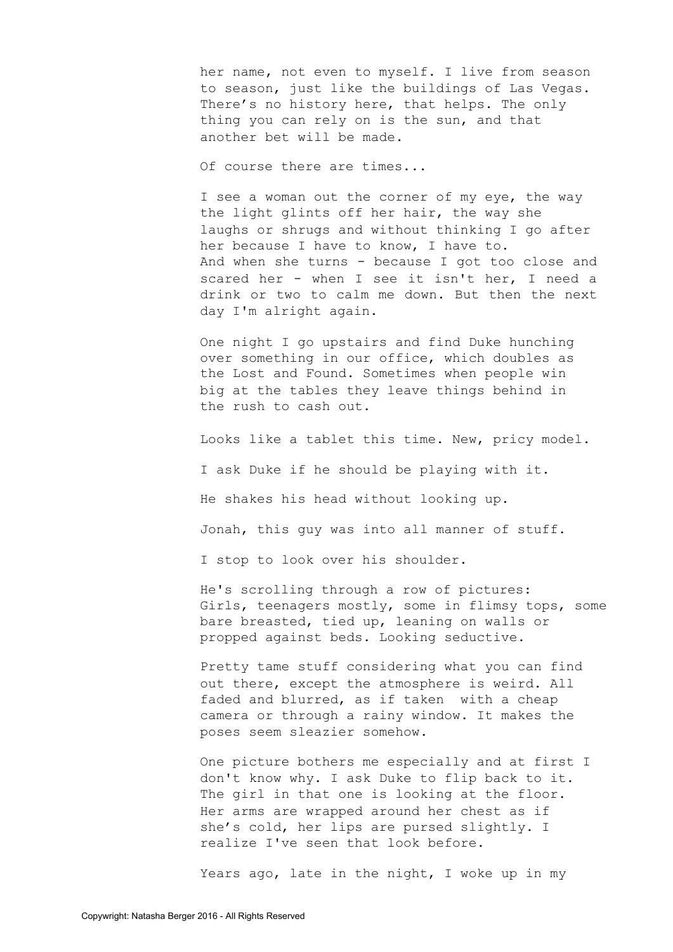her name, not even to myself. I live from season to season, just like the buildings of Las Vegas. There's no history here, that helps. The only thing you can rely on is the sun, and that another bet will be made.

Of course there are times...

I see a woman out the corner of my eye, the way the light glints off her hair, the way she laughs or shrugs and without thinking I go after her because I have to know, I have to. And when she turns - because I got too close and scared her - when I see it isn't her, I need a drink or two to calm me down. But then the next day I'm alright again.

One night I go upstairs and find Duke hunching over something in our office, which doubles as the Lost and Found. Sometimes when people win big at the tables they leave things behind in the rush to cash out.

Looks like a tablet this time. New, pricy model. I ask Duke if he should be playing with it. He shakes his head without looking up. Jonah, this guy was into all manner of stuff. I stop to look over his shoulder.

He's scrolling through a row of pictures: Girls, teenagers mostly, some in flimsy tops, some bare breasted, tied up, leaning on walls or propped against beds. Looking seductive.

Pretty tame stuff considering what you can find out there, except the atmosphere is weird. All faded and blurred, as if taken with a cheap camera or through a rainy window. It makes the poses seem sleazier somehow.

One picture bothers me especially and at first I don't know why. I ask Duke to flip back to it. The girl in that one is looking at the floor. Her arms are wrapped around her chest as if she's cold, her lips are pursed slightly. I realize I've seen that look before.

Years ago, late in the night, I woke up in my